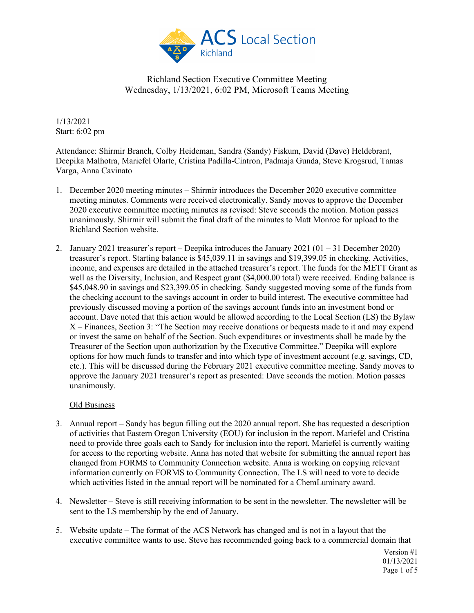

1/13/2021 Start: 6:02 pm

Attendance: Shirmir Branch, Colby Heideman, Sandra (Sandy) Fiskum, David (Dave) Heldebrant, Deepika Malhotra, Mariefel Olarte, Cristina Padilla-Cintron, Padmaja Gunda, Steve Krogsrud, Tamas Varga, Anna Cavinato

- 1. December 2020 meeting minutes Shirmir introduces the December 2020 executive committee meeting minutes. Comments were received electronically. Sandy moves to approve the December 2020 executive committee meeting minutes as revised: Steve seconds the motion. Motion passes unanimously. Shirmir will submit the final draft of the minutes to Matt Monroe for upload to the Richland Section website.
- 2. January 2021 treasurer's report Deepika introduces the January 2021 (01 31 December 2020) treasurer's report. Starting balance is \$45,039.11 in savings and \$19,399.05 in checking. Activities, income, and expenses are detailed in the attached treasurer's report. The funds for the METT Grant as well as the Diversity, Inclusion, and Respect grant (\$4,000.00 total) were received. Ending balance is \$45,048.90 in savings and \$23,399.05 in checking. Sandy suggested moving some of the funds from the checking account to the savings account in order to build interest. The executive committee had previously discussed moving a portion of the savings account funds into an investment bond or account. Dave noted that this action would be allowed according to the Local Section (LS) the Bylaw X – Finances, Section 3: "The Section may receive donations or bequests made to it and may expend or invest the same on behalf of the Section. Such expenditures or investments shall be made by the Treasurer of the Section upon authorization by the Executive Committee." Deepika will explore options for how much funds to transfer and into which type of investment account (e.g. savings, CD, etc.). This will be discussed during the February 2021 executive committee meeting. Sandy moves to approve the January 2021 treasurer's report as presented: Dave seconds the motion. Motion passes unanimously.

### Old Business

- 3. Annual report Sandy has begun filling out the 2020 annual report. She has requested a description of activities that Eastern Oregon University (EOU) for inclusion in the report. Mariefel and Cristina need to provide three goals each to Sandy for inclusion into the report. Mariefel is currently waiting for access to the reporting website. Anna has noted that website for submitting the annual report has changed from FORMS to Community Connection website. Anna is working on copying relevant information currently on FORMS to Community Connection. The LS will need to vote to decide which activities listed in the annual report will be nominated for a ChemLuminary award.
- 4. Newsletter Steve is still receiving information to be sent in the newsletter. The newsletter will be sent to the LS membership by the end of January.
- 5. Website update The format of the ACS Network has changed and is not in a layout that the executive committee wants to use. Steve has recommended going back to a commercial domain that

Version #1 01/13/2021 Page 1 of 5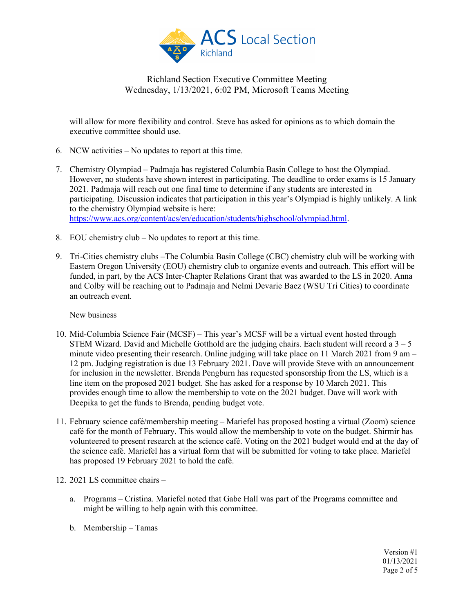

will allow for more flexibility and control. Steve has asked for opinions as to which domain the executive committee should use.

- 6. NCW activities No updates to report at this time.
- 7. Chemistry Olympiad Padmaja has registered Columbia Basin College to host the Olympiad. However, no students have shown interest in participating. The deadline to order exams is 15 January 2021. Padmaja will reach out one final time to determine if any students are interested in participating. Discussion indicates that participation in this year's Olympiad is highly unlikely. A link to the chemistry Olympiad website is here: [https://www.acs.org/content/acs/en/education/students/highschool/olympiad.html.](https://www.acs.org/content/acs/en/education/students/highschool/olympiad.html)
- 8. EOU chemistry club No updates to report at this time.
- 9. Tri-Cities chemistry clubs –The Columbia Basin College (CBC) chemistry club will be working with Eastern Oregon University (EOU) chemistry club to organize events and outreach. This effort will be funded, in part, by the ACS Inter-Chapter Relations Grant that was awarded to the LS in 2020. Anna and Colby will be reaching out to Padmaja and Nelmi Devarie Baez (WSU Tri Cities) to coordinate an outreach event.

### New business

- 10. Mid-Columbia Science Fair (MCSF) This year's MCSF will be a virtual event hosted through STEM Wizard. David and Michelle Gotthold are the judging chairs. Each student will record a  $3 - 5$ minute video presenting their research. Online judging will take place on 11 March 2021 from 9 am – 12 pm. Judging registration is due 13 February 2021. Dave will provide Steve with an announcement for inclusion in the newsletter. Brenda Pengburn has requested sponsorship from the LS, which is a line item on the proposed 2021 budget. She has asked for a response by 10 March 2021. This provides enough time to allow the membership to vote on the 2021 budget. Dave will work with Deepika to get the funds to Brenda, pending budget vote.
- 11. February science café/membership meeting Mariefel has proposed hosting a virtual (Zoom) science café for the month of February. This would allow the membership to vote on the budget. Shirmir has volunteered to present research at the science café. Voting on the 2021 budget would end at the day of the science café. Mariefel has a virtual form that will be submitted for voting to take place. Mariefel has proposed 19 February 2021 to hold the café.
- 12. 2021 LS committee chairs
	- a. Programs Cristina. Mariefel noted that Gabe Hall was part of the Programs committee and might be willing to help again with this committee.
	- b. Membership Tamas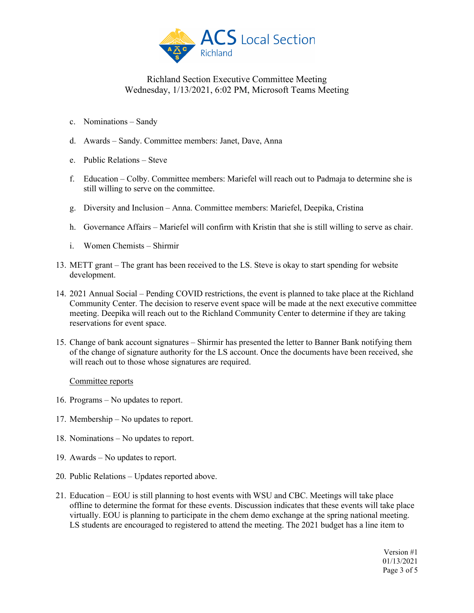

- c. Nominations Sandy
- d. Awards Sandy. Committee members: Janet, Dave, Anna
- e. Public Relations Steve
- f. Education Colby. Committee members: Mariefel will reach out to Padmaja to determine she is still willing to serve on the committee.
- g. Diversity and Inclusion Anna. Committee members: Mariefel, Deepika, Cristina
- h. Governance Affairs Mariefel will confirm with Kristin that she is still willing to serve as chair.
- i. Women Chemists Shirmir
- 13. METT grant The grant has been received to the LS. Steve is okay to start spending for website development.
- 14. 2021 Annual Social Pending COVID restrictions, the event is planned to take place at the Richland Community Center. The decision to reserve event space will be made at the next executive committee meeting. Deepika will reach out to the Richland Community Center to determine if they are taking reservations for event space.
- 15. Change of bank account signatures Shirmir has presented the letter to Banner Bank notifying them of the change of signature authority for the LS account. Once the documents have been received, she will reach out to those whose signatures are required.

### Committee reports

- 16. Programs No updates to report.
- 17. Membership No updates to report.
- 18. Nominations No updates to report.
- 19. Awards No updates to report.
- 20. Public Relations Updates reported above.
- 21. Education EOU is still planning to host events with WSU and CBC. Meetings will take place offline to determine the format for these events. Discussion indicates that these events will take place virtually. EOU is planning to participate in the chem demo exchange at the spring national meeting. LS students are encouraged to registered to attend the meeting. The 2021 budget has a line item to

Version #1 01/13/2021 Page 3 of 5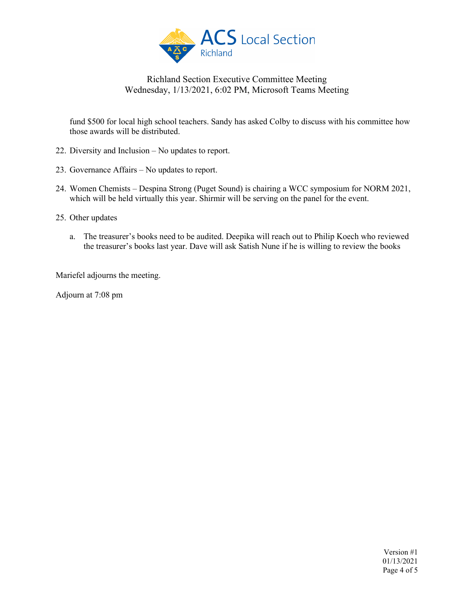

fund \$500 for local high school teachers. Sandy has asked Colby to discuss with his committee how those awards will be distributed.

- 22. Diversity and Inclusion No updates to report.
- 23. Governance Affairs No updates to report.
- 24. Women Chemists Despina Strong (Puget Sound) is chairing a WCC symposium for NORM 2021, which will be held virtually this year. Shirmir will be serving on the panel for the event.
- 25. Other updates
	- a. The treasurer's books need to be audited. Deepika will reach out to Philip Koech who reviewed the treasurer's books last year. Dave will ask Satish Nune if he is willing to review the books

Mariefel adjourns the meeting.

Adjourn at 7:08 pm